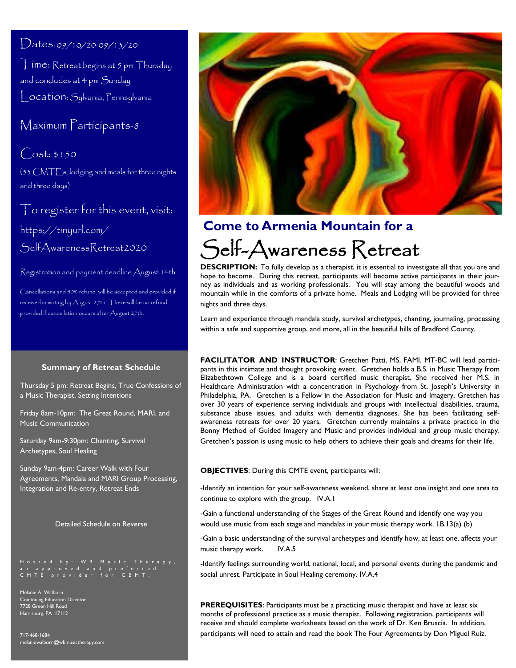## $Dates: 09/10/20-09/13/20$

Time: Retreat begins at 5 pm Thursday and concludes at 4 pm Sunday Location: Sylvania, Pennsylvania

## Maximum Participants-8

 $Cost: $150$ (33 CMTEs, lodging and meals for three nights and three days)

To register for this event, visit: https://tinyurl.com/ SelfAwarenessRetreat2020

Registration and payment deadline August 14th.

Cancellations and 50% refund will be accepted and provided if received in writing by August 27th. There will be no refund provided if cancellation occurs after August 27th.

#### **Summary of Retreat Schedule**

Thursday 5 pm: Retreat Begins, True Confessions of a Music Therapist, Setting Intentions

Friday 8am-10pm: The Great Round, MARI, and Music Communication

Saturday 9am-9:30pm: Chanting, Survival Archetypes, Soul Healing

Sunday 9am-4pm: Career Walk with Four Agreements, Mandala and MARI Group Processing, Integration and Re-entry, Retreat Ends

Detailed Schedule on Reverse

Hosted by: WB Music Therapy,<br>an approved and preferred<br>CMTE provider for CBMT.

Melanie A. Walborn Continuing Education Director 7728 Green Hill Road Harrisburg, PA 17112

717-468-1684 melaniewalborn@wbmusictherapy.com



# Self-Awareness Retreat **Come to Armenia Mountain for a**

**DESCRIPTION:** To fully develop as a therapist, it is essential to investigate all that you are and hope to become. During this retreat, participants will become active participants in their journey as individuals and as working professionals. You will stay among the beautiful woods and mountain while in the comforts of a private home. Meals and Lodging will be provided for three nights and three days.

Learn and experience through mandala study, survival archetypes, chanting, journaling, processing within a safe and supportive group, and more, all in the beautiful hills of Bradford County.

**FACILITATOR AND INSTRUCTOR**: Gretchen Patti, MS, FAMI, MT-BC will lead participants in this intimate and thought provoking event. Gretchen holds a B.S. in Music Therapy from Elizabethtown College and is a board certified music therapist. She received her M.S. in Healthcare Administration with a concentration in Psychology from St. Joseph's University in Philadelphia, PA. Gretchen is a Fellow in the Association for Music and Imagery. Gretchen has over 30 years of experience serving individuals and groups with intellectual disabilities, trauma, substance abuse issues, and adults with dementia diagnoses. She has been facilitating selfawareness retreats for over 20 years. Gretchen currently maintains a private practice in the Bonny Method of Guided Imagery and Music and provides individual and group music therapy. Gretchen's passion is using music to help others to achieve their goals and dreams for their life.

#### **OBJECTIVES**: During this CMTE event, participants will:

-Identify an intention for your self-awareness weekend, share at least one insight and one area to continue to explore with the group. IV.A.1

-Gain a functional understanding of the Stages of the Great Round and identify one way you would use music from each stage and mandalas in your music therapy work. I.B.13(a) (b)

-Gain a basic understanding of the survival archetypes and identify how, at least one, affects your music therapy work. IV.A.5

-Identify feelings surrounding world, national, local, and personal events during the pandemic and social unrest. Participate in Soul Healing ceremony. IV.A.4

**PREREQUISITES**: Participants must be a practicing music therapist and have at least six months of professional practice as a music therapist. Following registration, participants will receive and should complete worksheets based on the work of Dr. Ken Bruscia. In addition, participants will need to attain and read the book The Four Agreements by Don Miguel Ruiz.